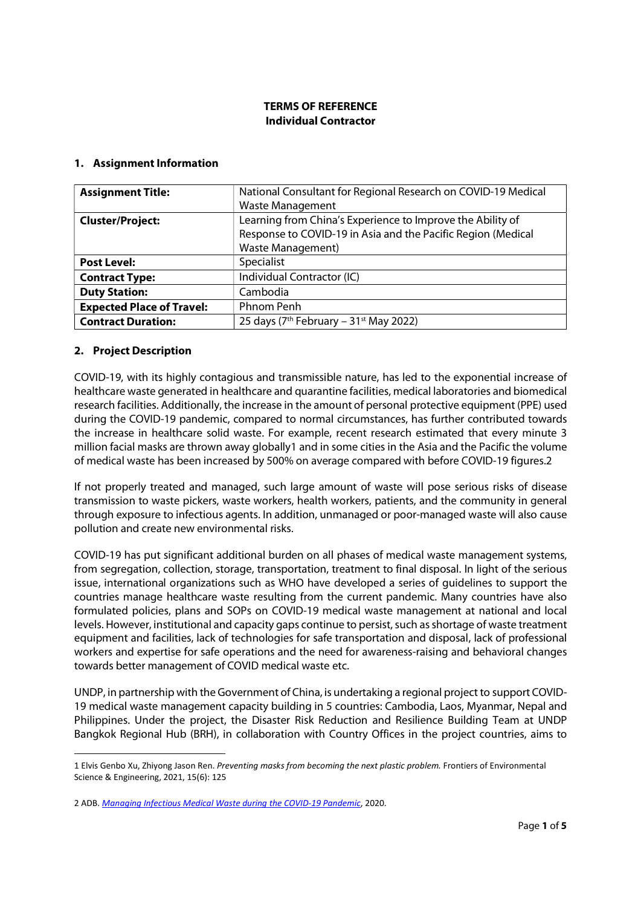### TERMS OF REFERENCE Individual Contractor

#### 1. Assignment Information

| National Consultant for Regional Research on COVID-19 Medical<br><b>Assignment Title:</b> |                                                              |  |  |
|-------------------------------------------------------------------------------------------|--------------------------------------------------------------|--|--|
|                                                                                           | <b>Waste Management</b>                                      |  |  |
| Learning from China's Experience to Improve the Ability of<br><b>Cluster/Project:</b>     |                                                              |  |  |
|                                                                                           | Response to COVID-19 in Asia and the Pacific Region (Medical |  |  |
|                                                                                           | <b>Waste Management)</b>                                     |  |  |
| <b>Post Level:</b>                                                                        | Specialist                                                   |  |  |
| <b>Contract Type:</b>                                                                     | Individual Contractor (IC)                                   |  |  |
| <b>Duty Station:</b>                                                                      | Cambodia                                                     |  |  |
| <b>Expected Place of Travel:</b>                                                          | Phnom Penh                                                   |  |  |
| <b>Contract Duration:</b>                                                                 | 25 days ( $7th$ February – 31 <sup>st</sup> May 2022)        |  |  |

#### 2. Project Description

COVID-19, with its highly contagious and transmissible nature, has led to the exponential increase of healthcare waste generated in healthcare and quarantine facilities, medical laboratories and biomedical research facilities. Additionally, the increase in the amount of personal protective equipment (PPE) used during the COVID-19 pandemic, compared to normal circumstances, has further contributed towards the increase in healthcare solid waste. For example, recent research estimated that every minute 3 million facial masks are thrown away globally1 and in some cities in the Asia and the Pacific the volume of medical waste has been increased by 500% on average compared with before COVID-19 figures.2

If not properly treated and managed, such large amount of waste will pose serious risks of disease transmission to waste pickers, waste workers, health workers, patients, and the community in general through exposure to infectious agents. In addition, unmanaged or poor-managed waste will also cause pollution and create new environmental risks.

COVID-19 has put significant additional burden on all phases of medical waste management systems, from segregation, collection, storage, transportation, treatment to final disposal. In light of the serious issue, international organizations such as WHO have developed a series of guidelines to support the countries manage healthcare waste resulting from the current pandemic. Many countries have also formulated policies, plans and SOPs on COVID-19 medical waste management at national and local levels. However, institutional and capacity gaps continue to persist, such as shortage of waste treatment equipment and facilities, lack of technologies for safe transportation and disposal, lack of professional workers and expertise for safe operations and the need for awareness-raising and behavioral changes towards better management of COVID medical waste etc.

UNDP, in partnership with the Government of China, is undertaking a regional project to support COVID-19 medical waste management capacity building in 5 countries: Cambodia, Laos, Myanmar, Nepal and Philippines. Under the project, the Disaster Risk Reduction and Resilience Building Team at UNDP Bangkok Regional Hub (BRH), in collaboration with Country Offices in the project countries, aims to

<sup>1</sup> Elvis Genbo Xu, Zhiyong Jason Ren. Preventing masks from becoming the next plastic problem. Frontiers of Environmental Science & Engineering, 2021, 15(6): 125

<sup>2</sup> ADB. Managing Infectious Medical Waste during the COVID-19 Pandemic, 2020.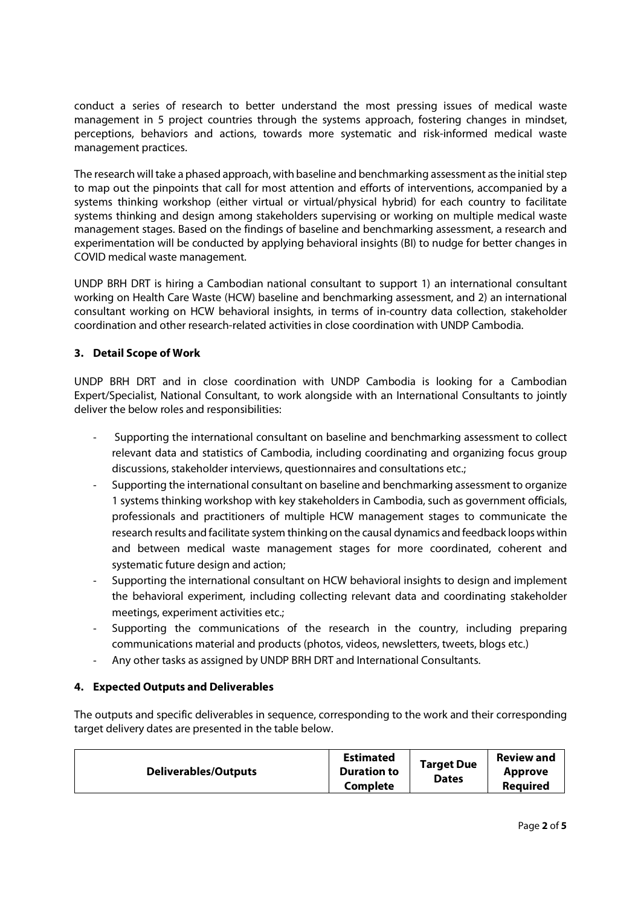conduct a series of research to better understand the most pressing issues of medical waste management in 5 project countries through the systems approach, fostering changes in mindset, perceptions, behaviors and actions, towards more systematic and risk-informed medical waste management practices.

The research will take a phased approach, with baseline and benchmarking assessment as the initial step to map out the pinpoints that call for most attention and efforts of interventions, accompanied by a systems thinking workshop (either virtual or virtual/physical hybrid) for each country to facilitate systems thinking and design among stakeholders supervising or working on multiple medical waste management stages. Based on the findings of baseline and benchmarking assessment, a research and experimentation will be conducted by applying behavioral insights (BI) to nudge for better changes in COVID medical waste management.

UNDP BRH DRT is hiring a Cambodian national consultant to support 1) an international consultant working on Health Care Waste (HCW) baseline and benchmarking assessment, and 2) an international consultant working on HCW behavioral insights, in terms of in-country data collection, stakeholder coordination and other research-related activities in close coordination with UNDP Cambodia.

## 3. Detail Scope of Work

UNDP BRH DRT and in close coordination with UNDP Cambodia is looking for a Cambodian Expert/Specialist, National Consultant, to work alongside with an International Consultants to jointly deliver the below roles and responsibilities:

- Supporting the international consultant on baseline and benchmarking assessment to collect relevant data and statistics of Cambodia, including coordinating and organizing focus group discussions, stakeholder interviews, questionnaires and consultations etc.;
- Supporting the international consultant on baseline and benchmarking assessment to organize 1 systems thinking workshop with key stakeholders in Cambodia, such as government officials, professionals and practitioners of multiple HCW management stages to communicate the research results and facilitate system thinking on the causal dynamics and feedback loops within and between medical waste management stages for more coordinated, coherent and systematic future design and action;
- Supporting the international consultant on HCW behavioral insights to design and implement the behavioral experiment, including collecting relevant data and coordinating stakeholder meetings, experiment activities etc.;
- Supporting the communications of the research in the country, including preparing communications material and products (photos, videos, newsletters, tweets, blogs etc.)
- Any other tasks as assigned by UNDP BRH DRT and International Consultants.

## 4. Expected Outputs and Deliverables

The outputs and specific deliverables in sequence, corresponding to the work and their corresponding target delivery dates are presented in the table below.

| <b>Deliverables/Outputs</b> | <b>Estimated</b><br><b>Duration to</b><br>Complete | <b>Target Due</b><br><b>Dates</b> | <b>Review and</b><br><b>Approve</b><br><b>Required</b> |
|-----------------------------|----------------------------------------------------|-----------------------------------|--------------------------------------------------------|
|-----------------------------|----------------------------------------------------|-----------------------------------|--------------------------------------------------------|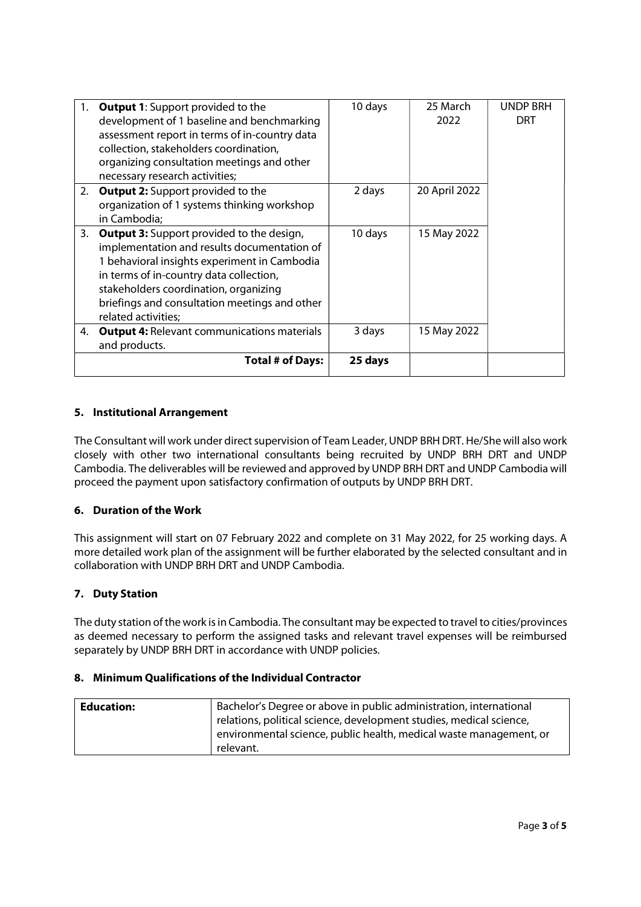| 1. | <b>Output 1:</b> Support provided to the           | 10 days | 25 March      | <b>UNDP BRH</b> |
|----|----------------------------------------------------|---------|---------------|-----------------|
|    | development of 1 baseline and benchmarking         |         | 2022          | DRT             |
|    | assessment report in terms of in-country data      |         |               |                 |
|    | collection, stakeholders coordination,             |         |               |                 |
|    | organizing consultation meetings and other         |         |               |                 |
|    | necessary research activities;                     |         |               |                 |
| 2. | <b>Output 2:</b> Support provided to the           | 2 days  | 20 April 2022 |                 |
|    | organization of 1 systems thinking workshop        |         |               |                 |
|    | in Cambodia;                                       |         |               |                 |
| 3. | <b>Output 3:</b> Support provided to the design,   | 10 days | 15 May 2022   |                 |
|    | implementation and results documentation of        |         |               |                 |
|    | 1 behavioral insights experiment in Cambodia       |         |               |                 |
|    | in terms of in-country data collection,            |         |               |                 |
|    | stakeholders coordination, organizing              |         |               |                 |
|    | briefings and consultation meetings and other      |         |               |                 |
|    | related activities;                                |         |               |                 |
| 4. | <b>Output 4: Relevant communications materials</b> | 3 days  | 15 May 2022   |                 |
|    | and products.                                      |         |               |                 |
|    | <b>Total # of Days:</b>                            | 25 days |               |                 |
|    |                                                    |         |               |                 |

## 5. Institutional Arrangement

The Consultant will work under direct supervision of Team Leader, UNDP BRH DRT. He/She will also work closely with other two international consultants being recruited by UNDP BRH DRT and UNDP Cambodia. The deliverables will be reviewed and approved by UNDP BRH DRT and UNDP Cambodia will proceed the payment upon satisfactory confirmation of outputs by UNDP BRH DRT.

### 6. Duration of the Work

This assignment will start on 07 February 2022 and complete on 31 May 2022, for 25 working days. A more detailed work plan of the assignment will be further elaborated by the selected consultant and in collaboration with UNDP BRH DRT and UNDP Cambodia.

## 7. Duty Station

The duty station of the work is in Cambodia. The consultant may be expected to travel to cities/provinces as deemed necessary to perform the assigned tasks and relevant travel expenses will be reimbursed separately by UNDP BRH DRT in accordance with UNDP policies.

### 8. Minimum Qualifications of the Individual Contractor

| <b>Education:</b> | Bachelor's Degree or above in public administration, international  |
|-------------------|---------------------------------------------------------------------|
|                   | relations, political science, development studies, medical science, |
|                   | environmental science, public health, medical waste management, or  |
|                   | relevant.                                                           |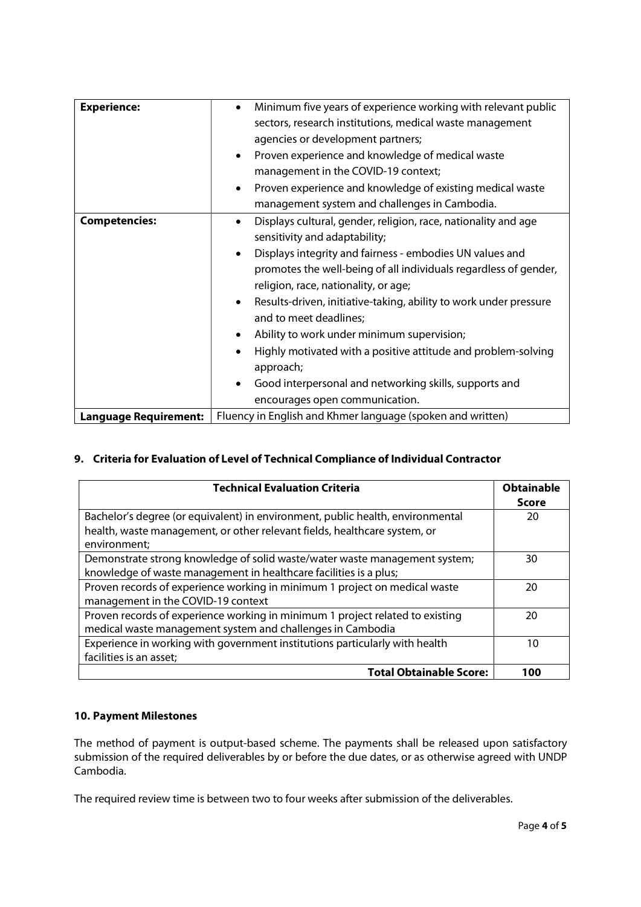| <b>Experience:</b><br>Minimum five years of experience working with relevant public<br>$\bullet$<br>sectors, research institutions, medical waste management                                                                                                                                                                                                                                                                                                                                                                                                                                                                                                               |  |
|----------------------------------------------------------------------------------------------------------------------------------------------------------------------------------------------------------------------------------------------------------------------------------------------------------------------------------------------------------------------------------------------------------------------------------------------------------------------------------------------------------------------------------------------------------------------------------------------------------------------------------------------------------------------------|--|
| agencies or development partners;<br>Proven experience and knowledge of medical waste<br>$\bullet$<br>management in the COVID-19 context;<br>Proven experience and knowledge of existing medical waste<br>management system and challenges in Cambodia.                                                                                                                                                                                                                                                                                                                                                                                                                    |  |
| Displays cultural, gender, religion, race, nationality and age<br><b>Competencies:</b><br>$\bullet$<br>sensitivity and adaptability;<br>Displays integrity and fairness - embodies UN values and<br>promotes the well-being of all individuals regardless of gender,<br>religion, race, nationality, or age;<br>Results-driven, initiative-taking, ability to work under pressure<br>$\bullet$<br>and to meet deadlines;<br>Ability to work under minimum supervision;<br>$\bullet$<br>Highly motivated with a positive attitude and problem-solving<br>approach;<br>Good interpersonal and networking skills, supports and<br>$\bullet$<br>encourages open communication. |  |
| Fluency in English and Khmer language (spoken and written)<br><b>Language Requirement:</b>                                                                                                                                                                                                                                                                                                                                                                                                                                                                                                                                                                                 |  |

# 9. Criteria for Evaluation of Level of Technical Compliance of Individual Contractor

| <b>Technical Evaluation Criteria</b>                                           |       |
|--------------------------------------------------------------------------------|-------|
|                                                                                | Score |
| Bachelor's degree (or equivalent) in environment, public health, environmental | 20    |
| health, waste management, or other relevant fields, healthcare system, or      |       |
| environment;                                                                   |       |
| Demonstrate strong knowledge of solid waste/water waste management system;     | 30    |
| knowledge of waste management in healthcare facilities is a plus;              |       |
| Proven records of experience working in minimum 1 project on medical waste     | 20    |
| management in the COVID-19 context                                             |       |
| Proven records of experience working in minimum 1 project related to existing  | 20    |
| medical waste management system and challenges in Cambodia                     |       |
| Experience in working with government institutions particularly with health    | 10    |
| facilities is an asset;                                                        |       |
| <b>Total Obtainable Score:</b>                                                 | 100   |

# 10. Payment Milestones

The method of payment is output-based scheme. The payments shall be released upon satisfactory submission of the required deliverables by or before the due dates, or as otherwise agreed with UNDP Cambodia.

The required review time is between two to four weeks after submission of the deliverables.